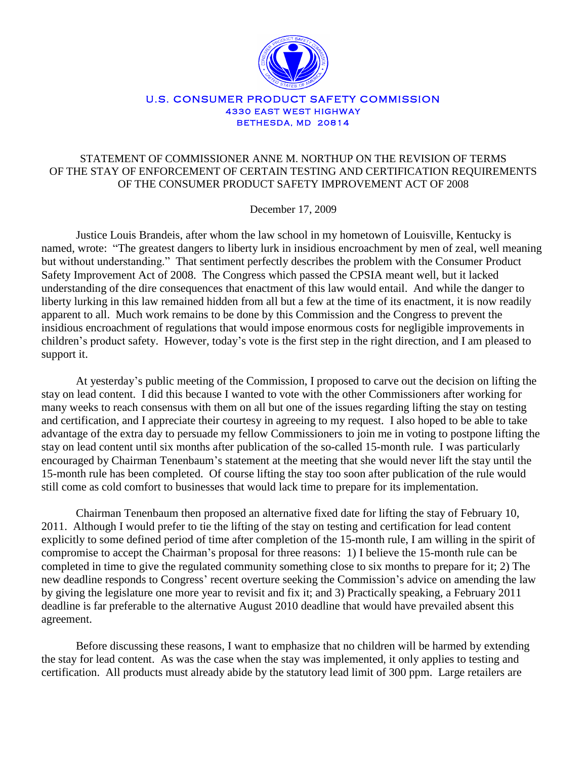

#### U.S. CONSUMER PRODUCT SAFETY COMMISSION **4330 EAST WEST HIGHWAY BETHESDA, MD 20814**

# STATEMENT OF COMMISSIONER ANNE M. NORTHUP ON THE REVISION OF TERMS OF THE STAY OF ENFORCEMENT OF CERTAIN TESTING AND CERTIFICATION REQUIREMENTS OF THE CONSUMER PRODUCT SAFETY IMPROVEMENT ACT OF 2008

December 17, 2009

Justice Louis Brandeis, after whom the law school in my hometown of Louisville, Kentucky is named, wrote: "The greatest dangers to liberty lurk in insidious encroachment by men of zeal, well meaning but without understanding." That sentiment perfectly describes the problem with the Consumer Product Safety Improvement Act of 2008. The Congress which passed the CPSIA meant well, but it lacked understanding of the dire consequences that enactment of this law would entail. And while the danger to liberty lurking in this law remained hidden from all but a few at the time of its enactment, it is now readily apparent to all. Much work remains to be done by this Commission and the Congress to prevent the insidious encroachment of regulations that would impose enormous costs for negligible improvements in children"s product safety. However, today"s vote is the first step in the right direction, and I am pleased to support it.

At yesterday"s public meeting of the Commission, I proposed to carve out the decision on lifting the stay on lead content. I did this because I wanted to vote with the other Commissioners after working for many weeks to reach consensus with them on all but one of the issues regarding lifting the stay on testing and certification, and I appreciate their courtesy in agreeing to my request. I also hoped to be able to take advantage of the extra day to persuade my fellow Commissioners to join me in voting to postpone lifting the stay on lead content until six months after publication of the so-called 15-month rule. I was particularly encouraged by Chairman Tenenbaum"s statement at the meeting that she would never lift the stay until the 15-month rule has been completed. Of course lifting the stay too soon after publication of the rule would still come as cold comfort to businesses that would lack time to prepare for its implementation.

Chairman Tenenbaum then proposed an alternative fixed date for lifting the stay of February 10, 2011. Although I would prefer to tie the lifting of the stay on testing and certification for lead content explicitly to some defined period of time after completion of the 15-month rule, I am willing in the spirit of compromise to accept the Chairman"s proposal for three reasons: 1) I believe the 15-month rule can be completed in time to give the regulated community something close to six months to prepare for it; 2) The new deadline responds to Congress' recent overture seeking the Commission's advice on amending the law by giving the legislature one more year to revisit and fix it; and 3) Practically speaking, a February 2011 deadline is far preferable to the alternative August 2010 deadline that would have prevailed absent this agreement.

Before discussing these reasons, I want to emphasize that no children will be harmed by extending the stay for lead content. As was the case when the stay was implemented, it only applies to testing and certification. All products must already abide by the statutory lead limit of 300 ppm. Large retailers are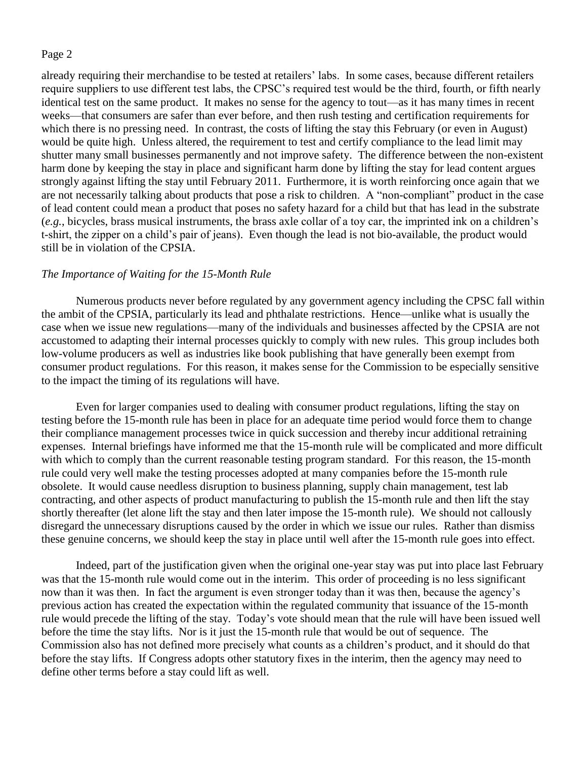already requiring their merchandise to be tested at retailers' labs. In some cases, because different retailers require suppliers to use different test labs, the CPSC"s required test would be the third, fourth, or fifth nearly identical test on the same product. It makes no sense for the agency to tout—as it has many times in recent weeks—that consumers are safer than ever before, and then rush testing and certification requirements for which there is no pressing need. In contrast, the costs of lifting the stay this February (or even in August) would be quite high. Unless altered, the requirement to test and certify compliance to the lead limit may shutter many small businesses permanently and not improve safety. The difference between the non-existent harm done by keeping the stay in place and significant harm done by lifting the stay for lead content argues strongly against lifting the stay until February 2011. Furthermore, it is worth reinforcing once again that we are not necessarily talking about products that pose a risk to children. A "non-compliant" product in the case of lead content could mean a product that poses no safety hazard for a child but that has lead in the substrate (*e.g.*, bicycles, brass musical instruments, the brass axle collar of a toy car, the imprinted ink on a children"s t-shirt, the zipper on a child"s pair of jeans). Even though the lead is not bio-available, the product would still be in violation of the CPSIA.

## *The Importance of Waiting for the 15-Month Rule*

Numerous products never before regulated by any government agency including the CPSC fall within the ambit of the CPSIA, particularly its lead and phthalate restrictions. Hence—unlike what is usually the case when we issue new regulations—many of the individuals and businesses affected by the CPSIA are not accustomed to adapting their internal processes quickly to comply with new rules. This group includes both low-volume producers as well as industries like book publishing that have generally been exempt from consumer product regulations. For this reason, it makes sense for the Commission to be especially sensitive to the impact the timing of its regulations will have.

Even for larger companies used to dealing with consumer product regulations, lifting the stay on testing before the 15-month rule has been in place for an adequate time period would force them to change their compliance management processes twice in quick succession and thereby incur additional retraining expenses. Internal briefings have informed me that the 15-month rule will be complicated and more difficult with which to comply than the current reasonable testing program standard. For this reason, the 15-month rule could very well make the testing processes adopted at many companies before the 15-month rule obsolete. It would cause needless disruption to business planning, supply chain management, test lab contracting, and other aspects of product manufacturing to publish the 15-month rule and then lift the stay shortly thereafter (let alone lift the stay and then later impose the 15-month rule). We should not callously disregard the unnecessary disruptions caused by the order in which we issue our rules. Rather than dismiss these genuine concerns, we should keep the stay in place until well after the 15-month rule goes into effect.

Indeed, part of the justification given when the original one-year stay was put into place last February was that the 15-month rule would come out in the interim. This order of proceeding is no less significant now than it was then. In fact the argument is even stronger today than it was then, because the agency"s previous action has created the expectation within the regulated community that issuance of the 15-month rule would precede the lifting of the stay. Today"s vote should mean that the rule will have been issued well before the time the stay lifts. Nor is it just the 15-month rule that would be out of sequence. The Commission also has not defined more precisely what counts as a children"s product, and it should do that before the stay lifts. If Congress adopts other statutory fixes in the interim, then the agency may need to define other terms before a stay could lift as well.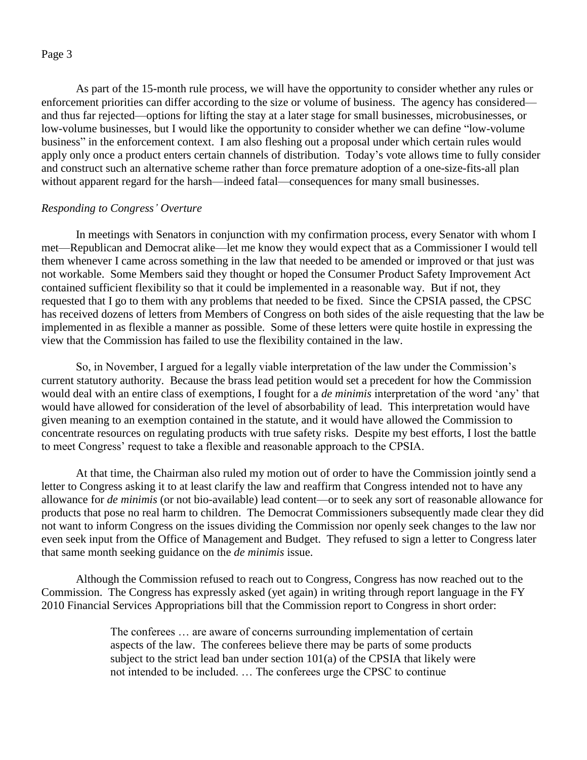As part of the 15-month rule process, we will have the opportunity to consider whether any rules or enforcement priorities can differ according to the size or volume of business. The agency has considered and thus far rejected—options for lifting the stay at a later stage for small businesses, microbusinesses, or low-volume businesses, but I would like the opportunity to consider whether we can define "low-volume business" in the enforcement context. I am also fleshing out a proposal under which certain rules would apply only once a product enters certain channels of distribution. Today"s vote allows time to fully consider and construct such an alternative scheme rather than force premature adoption of a one-size-fits-all plan without apparent regard for the harsh—indeed fatal—consequences for many small businesses.

### *Responding to Congress' Overture*

In meetings with Senators in conjunction with my confirmation process, every Senator with whom I met—Republican and Democrat alike—let me know they would expect that as a Commissioner I would tell them whenever I came across something in the law that needed to be amended or improved or that just was not workable. Some Members said they thought or hoped the Consumer Product Safety Improvement Act contained sufficient flexibility so that it could be implemented in a reasonable way. But if not, they requested that I go to them with any problems that needed to be fixed. Since the CPSIA passed, the CPSC has received dozens of letters from Members of Congress on both sides of the aisle requesting that the law be implemented in as flexible a manner as possible. Some of these letters were quite hostile in expressing the view that the Commission has failed to use the flexibility contained in the law.

So, in November, I argued for a legally viable interpretation of the law under the Commission"s current statutory authority. Because the brass lead petition would set a precedent for how the Commission would deal with an entire class of exemptions, I fought for a *de minimis* interpretation of the word "any" that would have allowed for consideration of the level of absorbability of lead. This interpretation would have given meaning to an exemption contained in the statute, and it would have allowed the Commission to concentrate resources on regulating products with true safety risks. Despite my best efforts, I lost the battle to meet Congress" request to take a flexible and reasonable approach to the CPSIA.

At that time, the Chairman also ruled my motion out of order to have the Commission jointly send a letter to Congress asking it to at least clarify the law and reaffirm that Congress intended not to have any allowance for *de minimis* (or not bio-available) lead content—or to seek any sort of reasonable allowance for products that pose no real harm to children. The Democrat Commissioners subsequently made clear they did not want to inform Congress on the issues dividing the Commission nor openly seek changes to the law nor even seek input from the Office of Management and Budget. They refused to sign a letter to Congress later that same month seeking guidance on the *de minimis* issue.

Although the Commission refused to reach out to Congress, Congress has now reached out to the Commission. The Congress has expressly asked (yet again) in writing through report language in the FY 2010 Financial Services Appropriations bill that the Commission report to Congress in short order:

> The conferees … are aware of concerns surrounding implementation of certain aspects of the law. The conferees believe there may be parts of some products subject to the strict lead ban under section 101(a) of the CPSIA that likely were not intended to be included. … The conferees urge the CPSC to continue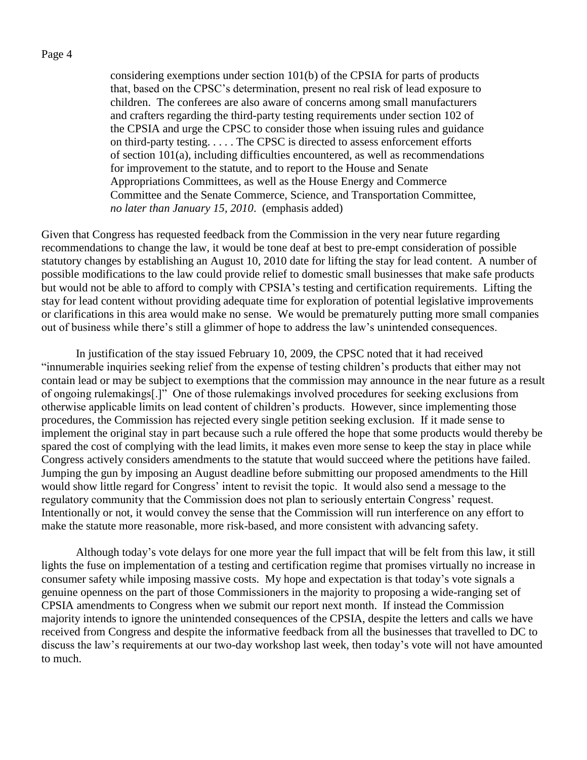considering exemptions under section 101(b) of the CPSIA for parts of products that, based on the CPSC"s determination, present no real risk of lead exposure to children. The conferees are also aware of concerns among small manufacturers and crafters regarding the third-party testing requirements under section 102 of the CPSIA and urge the CPSC to consider those when issuing rules and guidance on third-party testing. . . . . The CPSC is directed to assess enforcement efforts of section 101(a), including difficulties encountered, as well as recommendations for improvement to the statute, and to report to the House and Senate Appropriations Committees, as well as the House Energy and Commerce Committee and the Senate Commerce, Science, and Transportation Committee, *no later than January 15, 2010*. (emphasis added)

Given that Congress has requested feedback from the Commission in the very near future regarding recommendations to change the law, it would be tone deaf at best to pre-empt consideration of possible statutory changes by establishing an August 10, 2010 date for lifting the stay for lead content. A number of possible modifications to the law could provide relief to domestic small businesses that make safe products but would not be able to afford to comply with CPSIA"s testing and certification requirements. Lifting the stay for lead content without providing adequate time for exploration of potential legislative improvements or clarifications in this area would make no sense. We would be prematurely putting more small companies out of business while there"s still a glimmer of hope to address the law"s unintended consequences.

In justification of the stay issued February 10, 2009, the CPSC noted that it had received "innumerable inquiries seeking relief from the expense of testing children"s products that either may not contain lead or may be subject to exemptions that the commission may announce in the near future as a result of ongoing rulemakings[.]" One of those rulemakings involved procedures for seeking exclusions from otherwise applicable limits on lead content of children"s products. However, since implementing those procedures, the Commission has rejected every single petition seeking exclusion. If it made sense to implement the original stay in part because such a rule offered the hope that some products would thereby be spared the cost of complying with the lead limits, it makes even more sense to keep the stay in place while Congress actively considers amendments to the statute that would succeed where the petitions have failed. Jumping the gun by imposing an August deadline before submitting our proposed amendments to the Hill would show little regard for Congress" intent to revisit the topic. It would also send a message to the regulatory community that the Commission does not plan to seriously entertain Congress' request. Intentionally or not, it would convey the sense that the Commission will run interference on any effort to make the statute more reasonable, more risk-based, and more consistent with advancing safety.

Although today"s vote delays for one more year the full impact that will be felt from this law, it still lights the fuse on implementation of a testing and certification regime that promises virtually no increase in consumer safety while imposing massive costs. My hope and expectation is that today"s vote signals a genuine openness on the part of those Commissioners in the majority to proposing a wide-ranging set of CPSIA amendments to Congress when we submit our report next month. If instead the Commission majority intends to ignore the unintended consequences of the CPSIA, despite the letters and calls we have received from Congress and despite the informative feedback from all the businesses that travelled to DC to discuss the law"s requirements at our two-day workshop last week, then today"s vote will not have amounted to much.